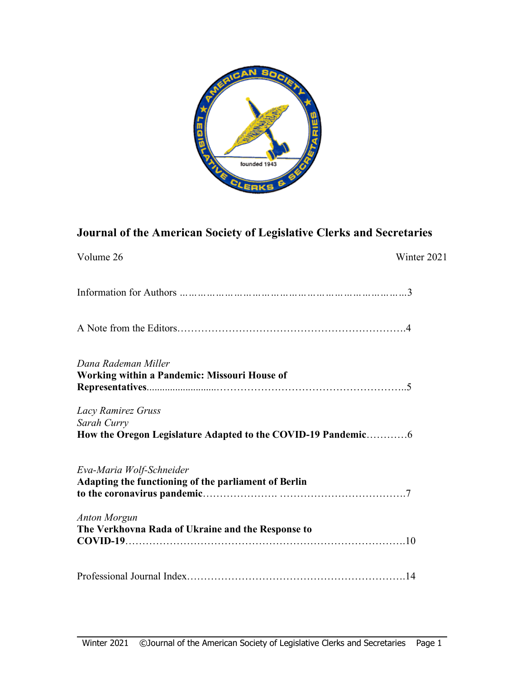

# **Journal of the American Society of Legislative Clerks and Secretaries**

| Volume 26                                                                        | Winter 2021 |
|----------------------------------------------------------------------------------|-------------|
|                                                                                  |             |
|                                                                                  |             |
| Dana Rademan Miller<br><b>Working within a Pandemic: Missouri House of</b>       |             |
| Lacy Ramirez Gruss<br>Sarah Curry                                                |             |
| Eva-Maria Wolf-Schneider<br>Adapting the functioning of the parliament of Berlin |             |
| <b>Anton Morgun</b><br>The Verkhovna Rada of Ukraine and the Response to         |             |
|                                                                                  |             |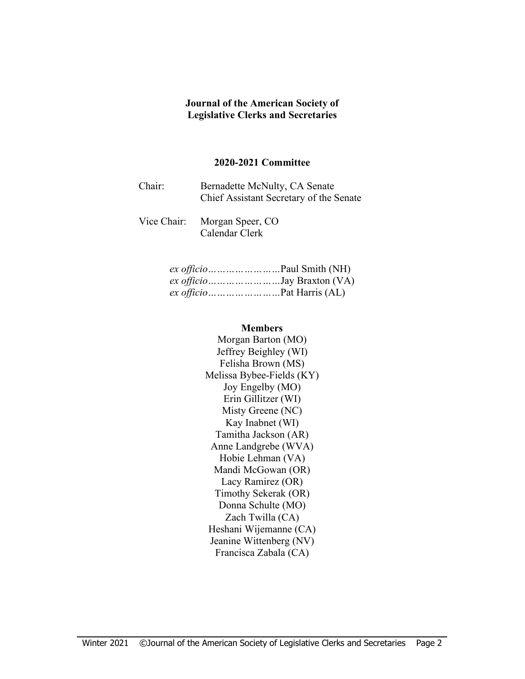#### **Journal of the American Society of Legislative Clerks and Secretaries**

#### **2020-2021 Committee**

| Chair: | Bernadette McNulty, CA Senate           |
|--------|-----------------------------------------|
|        | Chief Assistant Secretary of the Senate |

Vice Chair: Morgan Speer, CO Calendar Clerk

| ex officioJay Braxton (VA) |
|----------------------------|
|                            |

#### **Members**

Morgan Barton (MO) Jeffrey Beighley (WI) Felisha Brown (MS) Melissa Bybee-Fields (KY) Joy Engelby (MO) Erin Gillitzer (WI) Misty Greene (NC) Kay Inabnet (WI) Tamitha Jackson (AR) Anne Landgrebe (WVA) Hobie Lehman (VA) Mandi McGowan (OR) Lacy Ramirez (OR) Timothy Sekerak (OR) Donna Schulte (MO) Zach Twilla (CA) Heshani Wijemanne (CA) Jeanine Wittenberg (NV) Francisca Zabala (CA)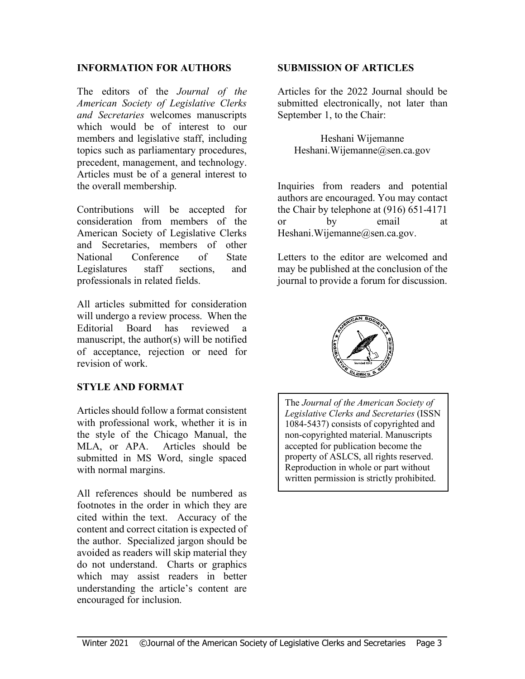#### **INFORMATION FOR AUTHORS**

The editors of the *Journal of the American Society of Legislative Clerks and Secretaries* welcomes manuscripts which would be of interest to our members and legislative staff, including topics such as parliamentary procedures, precedent, management, and technology. Articles must be of a general interest to the overall membership.

Contributions will be accepted for consideration from members of the American Society of Legislative Clerks and Secretaries, members of other National Conference of State Legislatures staff sections, and professionals in related fields.

All articles submitted for consideration will undergo a review process. When the Editorial Board has reviewed a manuscript, the author(s) will be notified of acceptance, rejection or need for revision of work.

#### **STYLE AND FORMAT**

Articles should follow a format consistent with professional work, whether it is in the style of the Chicago Manual, the MLA, or APA. Articles should be submitted in MS Word, single spaced with normal margins.

All references should be numbered as footnotes in the order in which they are cited within the text. Accuracy of the content and correct citation is expected of the author. Specialized jargon should be avoided as readers will skip material they do not understand. Charts or graphics which may assist readers in better understanding the article's content are encouraged for inclusion.

#### **SUBMISSION OF ARTICLES**

Articles for the 2022 Journal should be submitted electronically, not later than September 1, to the Chair:

Heshani Wijemanne Heshani.Wijemanne@sen.ca.gov

Inquiries from readers and potential authors are encouraged. You may contact the Chair by telephone at (916) 651-4171 or by email at Heshani.Wijemanne@sen.ca.gov.

Letters to the editor are welcomed and may be published at the conclusion of the journal to provide a forum for discussion.



The *Journal of the American Society of Legislative Clerks and Secretaries* (ISSN 1084-5437) consists of copyrighted and non-copyrighted material. Manuscripts accepted for publication become the property of ASLCS, all rights reserved. Reproduction in whole or part without written permission is strictly prohibited.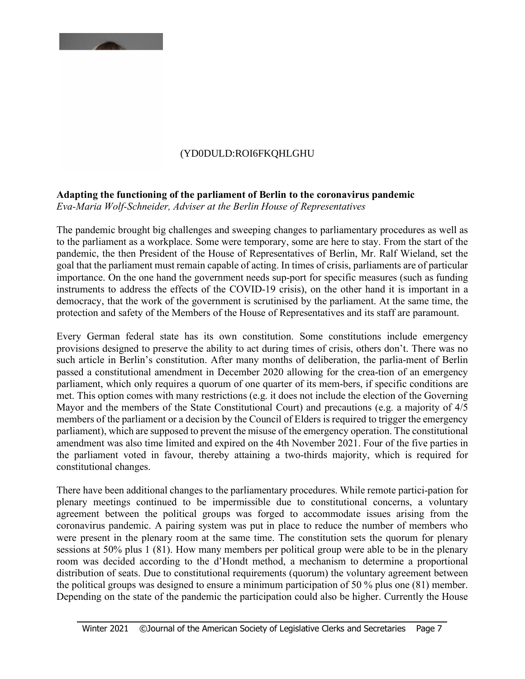## (YD0DULD:ROI6FKQLGHU

### **Adapting the functioning of the parliament of Berlin to the coronavirus pandemic**

*Eva-Maria Wolf-Schneider, Adviser at the Berlin House of Representatives*

The pandemic brought big challenges and sweeping changes to parliamentary procedures as well as to the parliament as a workplace. Some were temporary, some are here to stay. From the start of the pandemic, the then President of the House of Representatives of Berlin, Mr. Ralf Wieland, set the goal that the parliament must remain capable of acting. In times of crisis, parliaments are of particular importance. On the one hand the government needs sup-port for specific measures (such as funding instruments to address the effects of the COVID-19 crisis), on the other hand it is important in a democracy, that the work of the government is scrutinised by the parliament. At the same time, the protection and safety of the Members of the House of Representatives and its staff are paramount.

Every German federal state has its own constitution. Some constitutions include emergency provisions designed to preserve the ability to act during times of crisis, others don't. There was no such article in Berlin's constitution. After many months of deliberation, the parlia-ment of Berlin passed a constitutional amendment in December 2020 allowing for the crea-tion of an emergency parliament, which only requires a quorum of one quarter of its mem-bers, if specific conditions are met. This option comes with many restrictions (e.g. it does not include the election of the Governing Mayor and the members of the State Constitutional Court) and precautions (e.g. a majority of 4/5 members of the parliament or a decision by the Council of Elders is required to trigger the emergency parliament), which are supposed to prevent the misuse of the emergency operation. The constitutional amendment was also time limited and expired on the 4th November 2021. Four of the five parties in the parliament voted in favour, thereby attaining a two-thirds majority, which is required for constitutional changes.

There have been additional changes to the parliamentary procedures. While remote partici-pation for plenary meetings continued to be impermissible due to constitutional concerns, a voluntary agreement between the political groups was forged to accommodate issues arising from the coronavirus pandemic. A pairing system was put in place to reduce the number of members who were present in the plenary room at the same time. The constitution sets the quorum for plenary sessions at 50% plus 1 (81). How many members per political group were able to be in the plenary room was decided according to the d'Hondt method, a mechanism to determine a proportional distribution of seats. Due to constitutional requirements (quorum) the voluntary agreement between the political groups was designed to ensure a minimum participation of 50 % plus one (81) member. Depending on the state of the pandemic the participation could also be higher. Currently the House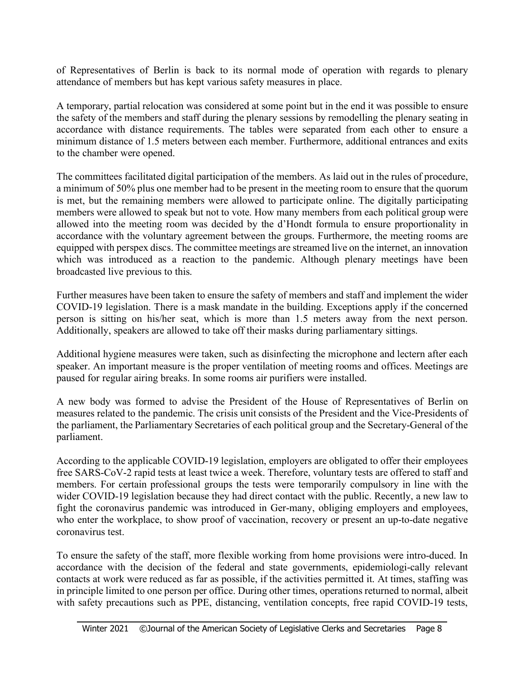of Representatives of Berlin is back to its normal mode of operation with regards to plenary attendance of members but has kept various safety measures in place.

A temporary, partial relocation was considered at some point but in the end it was possible to ensure the safety of the members and staff during the plenary sessions by remodelling the plenary seating in accordance with distance requirements. The tables were separated from each other to ensure a minimum distance of 1.5 meters between each member. Furthermore, additional entrances and exits to the chamber were opened.

The committees facilitated digital participation of the members. As laid out in the rules of procedure, a minimum of 50% plus one member had to be present in the meeting room to ensure that the quorum is met, but the remaining members were allowed to participate online. The digitally participating members were allowed to speak but not to vote. How many members from each political group were allowed into the meeting room was decided by the d'Hondt formula to ensure proportionality in accordance with the voluntary agreement between the groups. Furthermore, the meeting rooms are equipped with perspex discs. The committee meetings are streamed live on the internet, an innovation which was introduced as a reaction to the pandemic. Although plenary meetings have been broadcasted live previous to this.

Further measures have been taken to ensure the safety of members and staff and implement the wider COVID-19 legislation. There is a mask mandate in the building. Exceptions apply if the concerned person is sitting on his/her seat, which is more than 1.5 meters away from the next person. Additionally, speakers are allowed to take off their masks during parliamentary sittings.

Additional hygiene measures were taken, such as disinfecting the microphone and lectern after each speaker. An important measure is the proper ventilation of meeting rooms and offices. Meetings are paused for regular airing breaks. In some rooms air purifiers were installed.

A new body was formed to advise the President of the House of Representatives of Berlin on measures related to the pandemic. The crisis unit consists of the President and the Vice-Presidents of the parliament, the Parliamentary Secretaries of each political group and the Secretary-General of the parliament.

According to the applicable COVID-19 legislation, employers are obligated to offer their employees free SARS-CoV-2 rapid tests at least twice a week. Therefore, voluntary tests are offered to staff and members. For certain professional groups the tests were temporarily compulsory in line with the wider COVID-19 legislation because they had direct contact with the public. Recently, a new law to fight the coronavirus pandemic was introduced in Ger-many, obliging employers and employees, who enter the workplace, to show proof of vaccination, recovery or present an up-to-date negative coronavirus test.

To ensure the safety of the staff, more flexible working from home provisions were intro-duced. In accordance with the decision of the federal and state governments, epidemiologi-cally relevant contacts at work were reduced as far as possible, if the activities permitted it. At times, staffing was in principle limited to one person per office. During other times, operations returned to normal, albeit with safety precautions such as PPE, distancing, ventilation concepts, free rapid COVID-19 tests,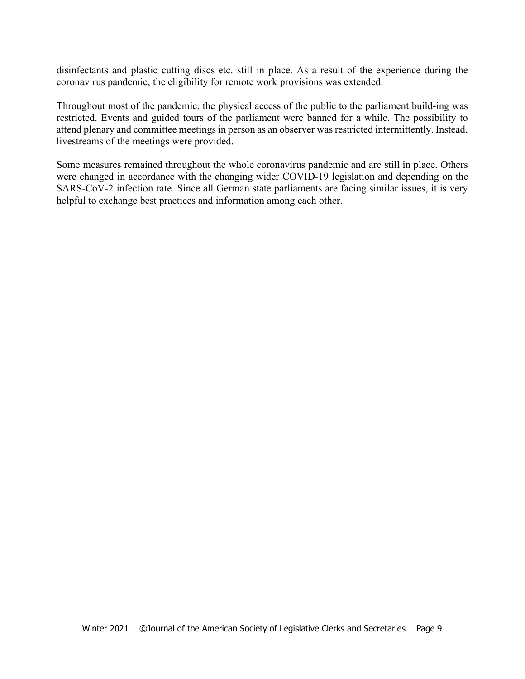disinfectants and plastic cutting discs etc. still in place. As a result of the experience during the coronavirus pandemic, the eligibility for remote work provisions was extended.

Throughout most of the pandemic, the physical access of the public to the parliament build-ing was restricted. Events and guided tours of the parliament were banned for a while. The possibility to attend plenary and committee meetings in person as an observer was restricted intermittently. Instead, livestreams of the meetings were provided.

Some measures remained throughout the whole coronavirus pandemic and are still in place. Others were changed in accordance with the changing wider COVID-19 legislation and depending on the SARS-CoV-2 infection rate. Since all German state parliaments are facing similar issues, it is very helpful to exchange best practices and information among each other.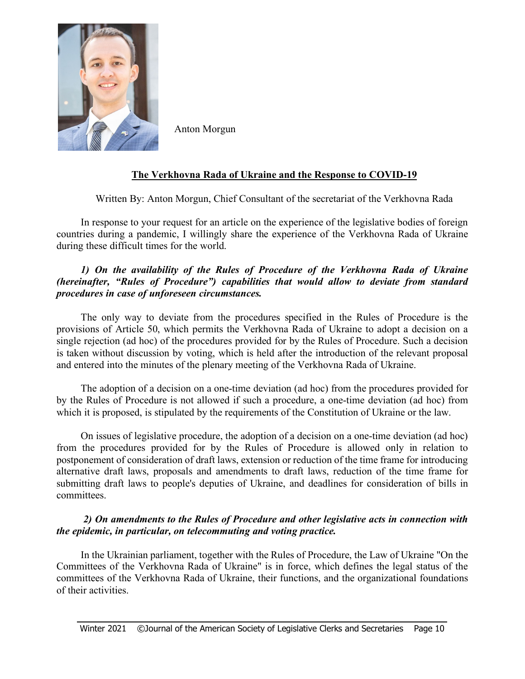

Anton Morgun

### **The Verkhovna Rada of Ukraine and the Response to COVID-19**

Written By: Anton Morgun, Chief Consultant of the secretariat of the Verkhovna Rada

In response to your request for an article on the experience of the legislative bodies of foreign countries during a pandemic, I willingly share the experience of the Verkhovna Rada of Ukraine during these difficult times for the world.

#### *1) On the availability of the Rules of Procedure of the Verkhovna Rada of Ukraine (hereinafter, "Rules of Procedure") capabilities that would allow to deviate from standard procedures in case of unforeseen circumstances.*

The only way to deviate from the procedures specified in the Rules of Procedure is the provisions of Article 50, which permits the Verkhovna Rada of Ukraine to adopt a decision on a single rejection (ad hoc) of the procedures provided for by the Rules of Procedure. Such a decision is taken without discussion by voting, which is held after the introduction of the relevant proposal and entered into the minutes of the plenary meeting of the Verkhovna Rada of Ukraine.

The adoption of a decision on a one-time deviation (ad hoc) from the procedures provided for by the Rules of Procedure is not allowed if such a procedure, a one-time deviation (ad hoc) from which it is proposed, is stipulated by the requirements of the Constitution of Ukraine or the law.

On issues of legislative procedure, the adoption of a decision on a one-time deviation (ad hoc) from the procedures provided for by the Rules of Procedure is allowed only in relation to postponement of consideration of draft laws, extension or reduction of the time frame for introducing alternative draft laws, proposals and amendments to draft laws, reduction of the time frame for submitting draft laws to people's deputies of Ukraine, and deadlines for consideration of bills in committees.

#### *2) On amendments to the Rules of Procedure and other legislative acts in connection with the epidemic, in particular, on telecommuting and voting practice.*

In the Ukrainian parliament, together with the Rules of Procedure, the Law of Ukraine "On the Committees of the Verkhovna Rada of Ukraine" is in force, which defines the legal status of the committees of the Verkhovna Rada of Ukraine, their functions, and the organizational foundations of their activities.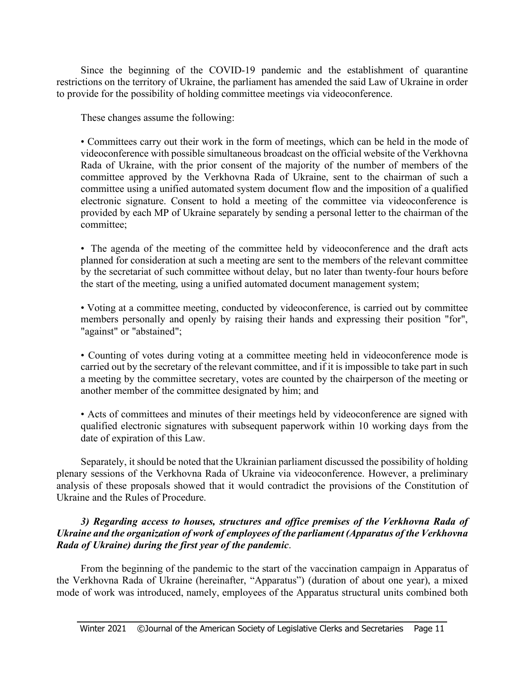Since the beginning of the COVID-19 pandemic and the establishment of quarantine restrictions on the territory of Ukraine, the parliament has amended the said Law of Ukraine in order to provide for the possibility of holding committee meetings via videoconference.

These changes assume the following:

• Committees carry out their work in the form of meetings, which can be held in the mode of videoconference with possible simultaneous broadcast on the official website of the Verkhovna Rada of Ukraine, with the prior consent of the majority of the number of members of the committee approved by the Verkhovna Rada of Ukraine, sent to the chairman of such a committee using a unified automated system document flow and the imposition of a qualified electronic signature. Consent to hold a meeting of the committee via videoconference is provided by each MP of Ukraine separately by sending a personal letter to the chairman of the committee;

• The agenda of the meeting of the committee held by videoconference and the draft acts planned for consideration at such a meeting are sent to the members of the relevant committee by the secretariat of such committee without delay, but no later than twenty-four hours before the start of the meeting, using a unified automated document management system;

• Voting at a committee meeting, conducted by videoconference, is carried out by committee members personally and openly by raising their hands and expressing their position "for", "against" or "abstained";

• Counting of votes during voting at a committee meeting held in videoconference mode is carried out by the secretary of the relevant committee, and if it is impossible to take part in such a meeting by the committee secretary, votes are counted by the chairperson of the meeting or another member of the committee designated by him; and

• Acts of committees and minutes of their meetings held by videoconference are signed with qualified electronic signatures with subsequent paperwork within 10 working days from the date of expiration of this Law.

Separately, it should be noted that the Ukrainian parliament discussed the possibility of holding plenary sessions of the Verkhovna Rada of Ukraine via videoconference. However, a preliminary analysis of these proposals showed that it would contradict the provisions of the Constitution of Ukraine and the Rules of Procedure.

#### *3) Regarding access to houses, structures and office premises of the Verkhovna Rada of Ukraine and the organization of work of employees of the parliament (Apparatus of the Verkhovna Rada of Ukraine) during the first year of the pandemic*.

From the beginning of the pandemic to the start of the vaccination campaign in Apparatus of the Verkhovna Rada of Ukraine (hereinafter, "Apparatus") (duration of about one year), a mixed mode of work was introduced, namely, employees of the Apparatus structural units combined both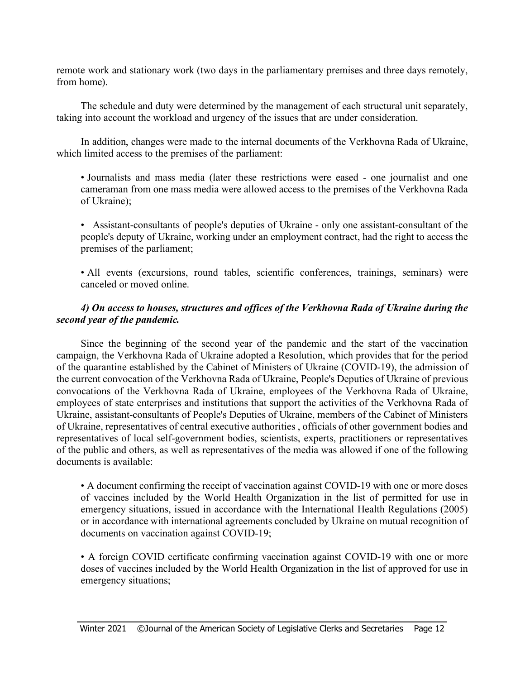remote work and stationary work (two days in the parliamentary premises and three days remotely, from home).

The schedule and duty were determined by the management of each structural unit separately, taking into account the workload and urgency of the issues that are under consideration.

In addition, changes were made to the internal documents of the Verkhovna Rada of Ukraine, which limited access to the premises of the parliament:

• Journalists and mass media (later these restrictions were eased - one journalist and one cameraman from one mass media were allowed access to the premises of the Verkhovna Rada of Ukraine);

• Assistant-consultants of people's deputies of Ukraine - only one assistant-consultant of the people's deputy of Ukraine, working under an employment contract, had the right to access the premises of the parliament;

• All events (excursions, round tables, scientific conferences, trainings, seminars) were canceled or moved online.

### *4) On access to houses, structures and offices of the Verkhovna Rada of Ukraine during the second year of the pandemic.*

Since the beginning of the second year of the pandemic and the start of the vaccination campaign, the Verkhovna Rada of Ukraine adopted a Resolution, which provides that for the period of the quarantine established by the Cabinet of Ministers of Ukraine (COVID-19), the admission of the current convocation of the Verkhovna Rada of Ukraine, People's Deputies of Ukraine of previous convocations of the Verkhovna Rada of Ukraine, employees of the Verkhovna Rada of Ukraine, employees of state enterprises and institutions that support the activities of the Verkhovna Rada of Ukraine, assistant-consultants of People's Deputies of Ukraine, members of the Cabinet of Ministers of Ukraine, representatives of central executive authorities , officials of other government bodies and representatives of local self-government bodies, scientists, experts, practitioners or representatives of the public and others, as well as representatives of the media was allowed if one of the following documents is available:

• A document confirming the receipt of vaccination against COVID-19 with one or more doses of vaccines included by the World Health Organization in the list of permitted for use in emergency situations, issued in accordance with the International Health Regulations (2005) or in accordance with international agreements concluded by Ukraine on mutual recognition of documents on vaccination against COVID-19;

• A foreign COVID certificate confirming vaccination against COVID-19 with one or more doses of vaccines included by the World Health Organization in the list of approved for use in emergency situations;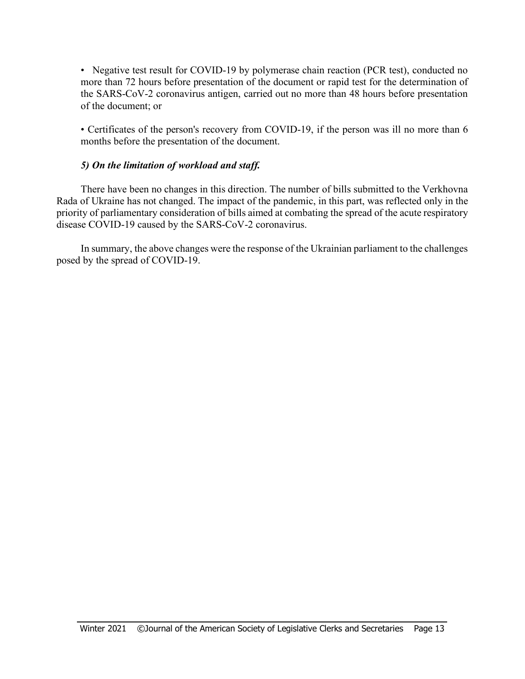• Negative test result for COVID-19 by polymerase chain reaction (PCR test), conducted no more than 72 hours before presentation of the document or rapid test for the determination of the SARS-CoV-2 coronavirus antigen, carried out no more than 48 hours before presentation of the document; or

• Certificates of the person's recovery from COVID-19, if the person was ill no more than 6 months before the presentation of the document.

#### *5) On the limitation of workload and staff.*

There have been no changes in this direction. The number of bills submitted to the Verkhovna Rada of Ukraine has not changed. The impact of the pandemic, in this part, was reflected only in the priority of parliamentary consideration of bills aimed at combating the spread of the acute respiratory disease COVID-19 caused by the SARS-CoV-2 coronavirus.

In summary, the above changes were the response of the Ukrainian parliament to the challenges posed by the spread of COVID-19.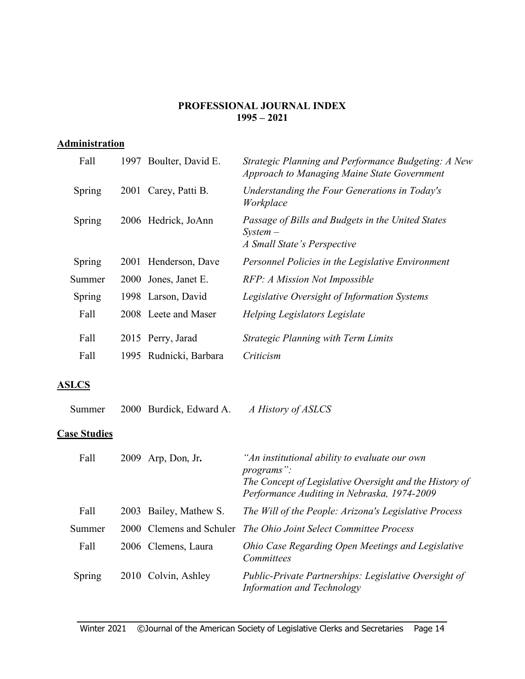#### **PROFESSIONAL JOURNAL INDEX 1995 – 2021**

## **Administration**

| Fall          | 1997 Boulter, David E.  | Strategic Planning and Performance Budgeting: A New<br><b>Approach to Managing Maine State Government</b> |
|---------------|-------------------------|-----------------------------------------------------------------------------------------------------------|
| <b>Spring</b> | 2001 Carey, Patti B.    | Understanding the Four Generations in Today's<br>Workplace                                                |
| Spring        | 2006 Hedrick, JoAnn     | Passage of Bills and Budgets in the United States<br>$System-$<br>A Small State's Perspective             |
| Spring        | 2001 Henderson, Dave    | Personnel Policies in the Legislative Environment                                                         |
| Summer        | 2000 Jones, Janet E.    | RFP: A Mission Not Impossible                                                                             |
| <b>Spring</b> | 1998 Larson, David      | Legislative Oversight of Information Systems                                                              |
| Fall          | 2008 Leete and Maser    | Helping Legislators Legislate                                                                             |
| Fall          | 2015 Perry, Jarad       | <b>Strategic Planning with Term Limits</b>                                                                |
| Fall          | 1995 Rudnicki, Barbara  | Criticism                                                                                                 |
| <b>ASLCS</b>  |                         |                                                                                                           |
| Summer        | 2000 Burdick, Edward A. | A History of ASLCS                                                                                        |
|               |                         |                                                                                                           |

## **Case Studies**

| Fall   | 2009 Arp, Don, Jr.       | "An institutional ability to evaluate our own<br><i>programs</i> ":<br>The Concept of Legislative Oversight and the History of<br>Performance Auditing in Nebraska, 1974-2009 |
|--------|--------------------------|-------------------------------------------------------------------------------------------------------------------------------------------------------------------------------|
| Fall   | 2003 Bailey, Mathew S.   | The Will of the People: Arizona's Legislative Process                                                                                                                         |
| Summer | 2000 Clemens and Schuler | The Ohio Joint Select Committee Process                                                                                                                                       |
| Fall   | 2006 Clemens, Laura      | Ohio Case Regarding Open Meetings and Legislative<br>Committees                                                                                                               |
| Spring | 2010 Colvin, Ashley      | Public-Private Partnerships: Legislative Oversight of<br>Information and Technology                                                                                           |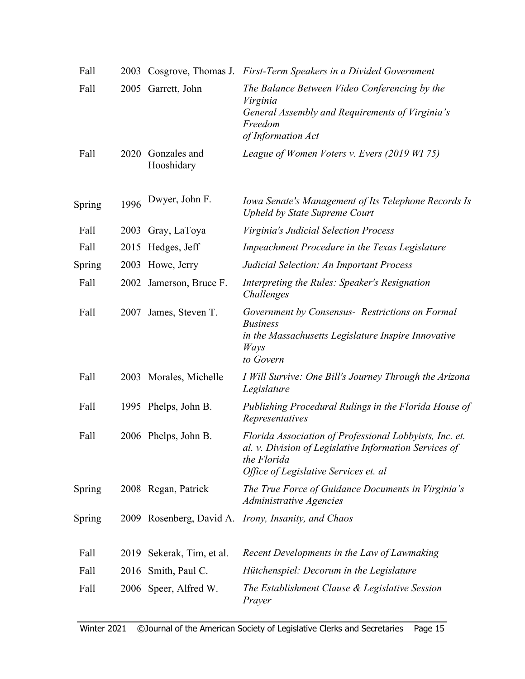| Fall   |      |                            | 2003 Cosgrove, Thomas J. First-Term Speakers in a Divided Government                                                                                                      |
|--------|------|----------------------------|---------------------------------------------------------------------------------------------------------------------------------------------------------------------------|
| Fall   |      | 2005 Garrett, John         | The Balance Between Video Conferencing by the<br>Virginia<br>General Assembly and Requirements of Virginia's<br>Freedom<br>of Information Act                             |
| Fall   | 2020 | Gonzales and<br>Hooshidary | League of Women Voters v. Evers (2019 WI 75)                                                                                                                              |
| Spring | 1996 | Dwyer, John F.             | Iowa Senate's Management of Its Telephone Records Is<br><b>Upheld by State Supreme Court</b>                                                                              |
| Fall   |      | 2003 Gray, LaToya          | Virginia's Judicial Selection Process                                                                                                                                     |
| Fall   | 2015 | Hedges, Jeff               | Impeachment Procedure in the Texas Legislature                                                                                                                            |
| Spring | 2003 | Howe, Jerry                | Judicial Selection: An Important Process                                                                                                                                  |
| Fall   |      | 2002 Jamerson, Bruce F.    | Interpreting the Rules: Speaker's Resignation<br>Challenges                                                                                                               |
| Fall   | 2007 | James, Steven T.           | Government by Consensus-Restrictions on Formal<br><b>Business</b><br>in the Massachusetts Legislature Inspire Innovative<br>Ways<br>to Govern                             |
| Fall   |      | 2003 Morales, Michelle     | I Will Survive: One Bill's Journey Through the Arizona<br>Legislature                                                                                                     |
| Fall   |      | 1995 Phelps, John B.       | Publishing Procedural Rulings in the Florida House of<br>Representatives                                                                                                  |
| Fall   |      | 2006 Phelps, John B.       | Florida Association of Professional Lobbyists, Inc. et.<br>al. v. Division of Legislative Information Services of<br>the Florida<br>Office of Legislative Services et. al |
| Spring |      | 2008 Regan, Patrick        | The True Force of Guidance Documents in Virginia's<br>Administrative Agencies                                                                                             |
| Spring |      |                            | 2009 Rosenberg, David A. <i>Irony, Insanity, and Chaos</i>                                                                                                                |
| Fall   |      | 2019 Sekerak, Tim, et al.  | Recent Developments in the Law of Lawmaking                                                                                                                               |
| Fall   |      | 2016 Smith, Paul C.        | Hütchenspiel: Decorum in the Legislature                                                                                                                                  |
| Fall   |      | 2006 Speer, Alfred W.      | The Establishment Clause & Legislative Session<br>Prayer                                                                                                                  |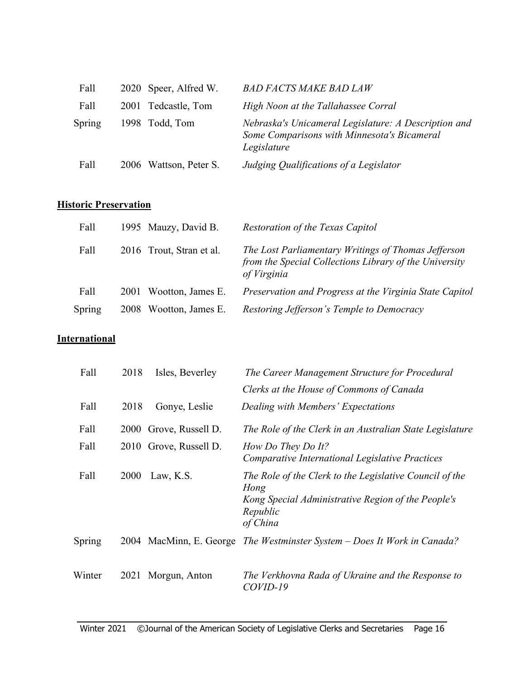| Fall   | 2020 Speer, Alfred W.  | <b>BAD FACTS MAKE BAD LAW</b>                                                                                      |
|--------|------------------------|--------------------------------------------------------------------------------------------------------------------|
| Fall   | 2001 Tedcastle, Tom    | High Noon at the Tallahassee Corral                                                                                |
| Spring | 1998 Todd, Tom         | Nebraska's Unicameral Legislature: A Description and<br>Some Comparisons with Minnesota's Bicameral<br>Legislature |
| Fall   | 2006 Wattson, Peter S. | Judging Qualifications of a Legislator                                                                             |

## **Historic Preservation**

| Fall   | 1995 Mauzy, David B.      | Restoration of the Texas Capitol                                                                                             |
|--------|---------------------------|------------------------------------------------------------------------------------------------------------------------------|
| Fall   | 2016 Trout, Stran et al.  | The Lost Parliamentary Writings of Thomas Jefferson<br>from the Special Collections Library of the University<br>of Virginia |
| Fall   | Wootton, James E.<br>2001 | Preservation and Progress at the Virginia State Capitol                                                                      |
| Spring | Wootton, James E.<br>2008 | Restoring Jefferson's Temple to Democracy                                                                                    |

## **International**

| Fall   | 2018 | Isles, Beverley        | The Career Management Structure for Procedural                                                                                                |
|--------|------|------------------------|-----------------------------------------------------------------------------------------------------------------------------------------------|
|        |      |                        | Clerks at the House of Commons of Canada                                                                                                      |
| Fall   | 2018 | Gonye, Leslie          | Dealing with Members' Expectations                                                                                                            |
| Fall   | 2000 | Grove, Russell D.      | The Role of the Clerk in an Australian State Legislature                                                                                      |
| Fall   |      | 2010 Grove, Russell D. | How Do They Do It?<br>Comparative International Legislative Practices                                                                         |
| Fall   | 2000 | Law, K.S.              | The Role of the Clerk to the Legislative Council of the<br>Hong<br>Kong Special Administrative Region of the People's<br>Republic<br>of China |
| Spring | 2004 |                        | MacMinn, E. George The Westminster System – Does It Work in Canada?                                                                           |
| Winter |      | 2021 Morgun, Anton     | The Verkhovna Rada of Ukraine and the Response to<br>COVID-19                                                                                 |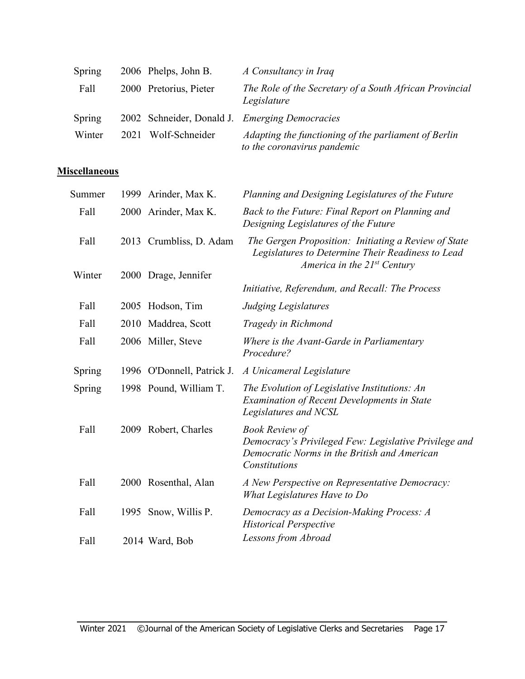| Spring |      | 2006 Phelps, John B.   | A Consultancy in Iraq                                                               |
|--------|------|------------------------|-------------------------------------------------------------------------------------|
| Fall   |      | 2000 Pretorius, Pieter | The Role of the Secretary of a South African Provincial<br>Legislature              |
| Spring |      |                        | 2002 Schneider, Donald J. Emerging Democracies                                      |
| Winter | 2021 | Wolf-Schneider         | Adapting the functioning of the parliament of Berlin<br>to the coronavirus pandemic |

## **Miscellaneous**

| 2000 Arinder, Max K.    | Back to the Future: Final Report on Planning and<br>Designing Legislatures of the Future                                                                                                                        |
|-------------------------|-----------------------------------------------------------------------------------------------------------------------------------------------------------------------------------------------------------------|
| 2013 Crumbliss, D. Adam | The Gergen Proposition: Initiating a Review of State<br>Legislatures to Determine Their Readiness to Lead<br>America in the $21^{st}$ Century                                                                   |
| 2000 Drage, Jennifer    |                                                                                                                                                                                                                 |
|                         | Initiative, Referendum, and Recall: The Process                                                                                                                                                                 |
|                         | <b>Judging Legislatures</b>                                                                                                                                                                                     |
|                         | Tragedy in Richmond                                                                                                                                                                                             |
|                         | Where is the Avant-Garde in Parliamentary<br>Procedure?                                                                                                                                                         |
|                         | A Unicameral Legislature                                                                                                                                                                                        |
|                         | The Evolution of Legislative Institutions: An<br><b>Examination of Recent Developments in State</b><br>Legislatures and NCSL                                                                                    |
|                         | <b>Book Review of</b><br>Democracy's Privileged Few: Legislative Privilege and<br>Democratic Norms in the British and American<br>Constitutions                                                                 |
|                         | A New Perspective on Representative Democracy:<br>What Legislatures Have to Do                                                                                                                                  |
|                         | Democracy as a Decision-Making Process: A<br><b>Historical Perspective</b>                                                                                                                                      |
|                         | Lessons from Abroad                                                                                                                                                                                             |
|                         | 2005 Hodson, Tim<br>2010 Maddrea, Scott<br>2006 Miller, Steve<br>1996 O'Donnell, Patrick J.<br>1998 Pound, William T.<br>2009 Robert, Charles<br>2000 Rosenthal, Alan<br>1995 Snow, Willis P.<br>2014 Ward, Bob |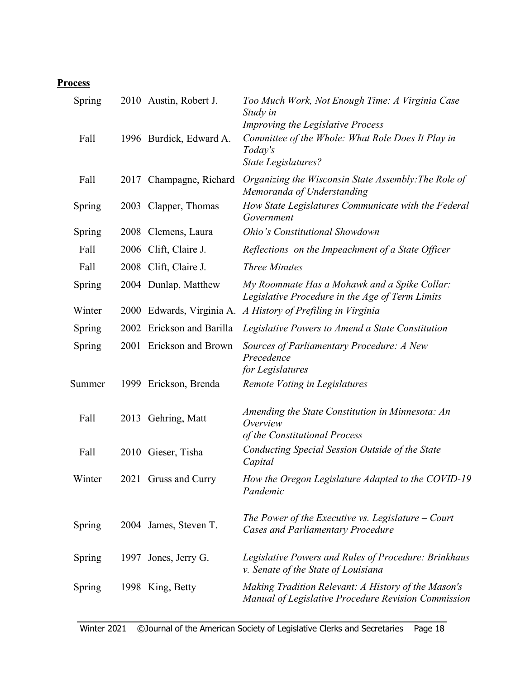# **Process**

| Spring |             | 2010 Austin, Robert J.  | Too Much Work, Not Enough Time: A Virginia Case<br>Study in<br>Improving the Legislative Process           |
|--------|-------------|-------------------------|------------------------------------------------------------------------------------------------------------|
| Fall   |             | 1996 Burdick, Edward A. | Committee of the Whole: What Role Does It Play in<br>Today's<br>State Legislatures?                        |
| Fall   |             | 2017 Champagne, Richard | Organizing the Wisconsin State Assembly: The Role of<br>Memoranda of Understanding                         |
| Spring |             | 2003 Clapper, Thomas    | How State Legislatures Communicate with the Federal<br>Government                                          |
| Spring |             | 2008 Clemens, Laura     | Ohio's Constitutional Showdown                                                                             |
| Fall   |             | 2006 Clift, Claire J.   | Reflections on the Impeachment of a State Officer                                                          |
| Fall   |             | 2008 Clift, Claire J.   | <b>Three Minutes</b>                                                                                       |
| Spring |             | 2004 Dunlap, Matthew    | My Roommate Has a Mohawk and a Spike Collar:<br>Legislative Procedure in the Age of Term Limits            |
| Winter | <b>2000</b> | Edwards, Virginia A.    | A History of Prefiling in Virginia                                                                         |
| Spring | 2002        | Erickson and Barilla    | Legislative Powers to Amend a State Constitution                                                           |
| Spring | 2001        | Erickson and Brown      | Sources of Parliamentary Procedure: A New<br>Precedence                                                    |
| Summer |             | 1999 Erickson, Brenda   | for Legislatures<br>Remote Voting in Legislatures                                                          |
| Fall   |             | 2013 Gehring, Matt      | Amending the State Constitution in Minnesota: An<br>Overview<br>of the Constitutional Process              |
| Fall   |             | 2010 Gieser, Tisha      | Conducting Special Session Outside of the State<br>Capital                                                 |
| Winter |             | 2021 Gruss and Curry    | How the Oregon Legislature Adapted to the COVID-19<br>Pandemic                                             |
| Spring |             | 2004 James, Steven T.   | The Power of the Executive vs. Legislature $-$ Court<br><b>Cases and Parliamentary Procedure</b>           |
| Spring |             | 1997 Jones, Jerry G.    | Legislative Powers and Rules of Procedure: Brinkhaus<br>v. Senate of the State of Louisiana                |
| Spring |             | 1998 King, Betty        | Making Tradition Relevant: A History of the Mason's<br>Manual of Legislative Procedure Revision Commission |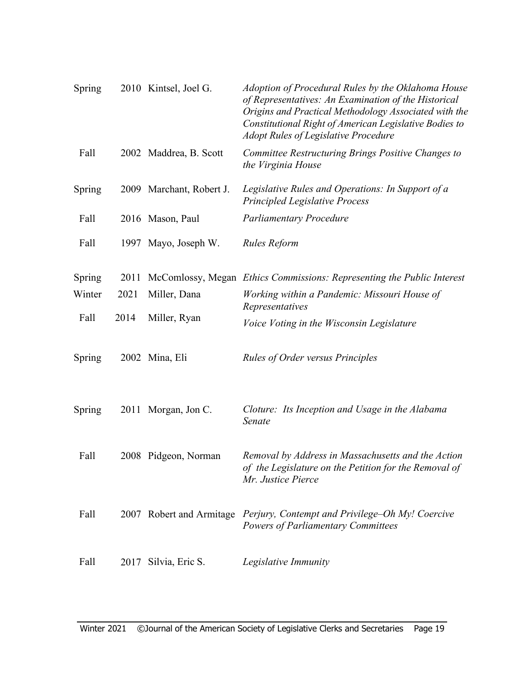| Spring |      | 2010 Kintsel, Joel G.    | Adoption of Procedural Rules by the Oklahoma House<br>of Representatives: An Examination of the Historical<br>Origins and Practical Methodology Associated with the<br>Constitutional Right of American Legislative Bodies to<br><b>Adopt Rules of Legislative Procedure</b> |
|--------|------|--------------------------|------------------------------------------------------------------------------------------------------------------------------------------------------------------------------------------------------------------------------------------------------------------------------|
| Fall   |      | 2002 Maddrea, B. Scott   | Committee Restructuring Brings Positive Changes to<br>the Virginia House                                                                                                                                                                                                     |
| Spring |      | 2009 Marchant, Robert J. | Legislative Rules and Operations: In Support of a<br><b>Principled Legislative Process</b>                                                                                                                                                                                   |
| Fall   |      | 2016 Mason, Paul         | <b>Parliamentary Procedure</b>                                                                                                                                                                                                                                               |
| Fall   |      | 1997 Mayo, Joseph W.     | Rules Reform                                                                                                                                                                                                                                                                 |
| Spring | 2011 |                          | McComlossy, Megan Ethics Commissions: Representing the Public Interest                                                                                                                                                                                                       |
| Winter | 2021 | Miller, Dana             | Working within a Pandemic: Missouri House of<br>Representatives                                                                                                                                                                                                              |
| Fall   | 2014 | Miller, Ryan             | <i>Voice Voting in the Wisconsin Legislature</i>                                                                                                                                                                                                                             |
| Spring |      | 2002 Mina, Eli           | <b>Rules of Order versus Principles</b>                                                                                                                                                                                                                                      |
| Spring |      | 2011 Morgan, Jon C.      | Cloture: Its Inception and Usage in the Alabama<br>Senate                                                                                                                                                                                                                    |
| Fall   |      | 2008 Pidgeon, Norman     | Removal by Address in Massachusetts and the Action<br>of the Legislature on the Petition for the Removal of<br>Mr. Justice Pierce                                                                                                                                            |
| Fall   |      |                          | 2007 Robert and Armitage Perjury, Contempt and Privilege–Oh My! Coercive<br><b>Powers of Parliamentary Committees</b>                                                                                                                                                        |
| Fall   |      | 2017 Silvia, Eric S.     | Legislative Immunity                                                                                                                                                                                                                                                         |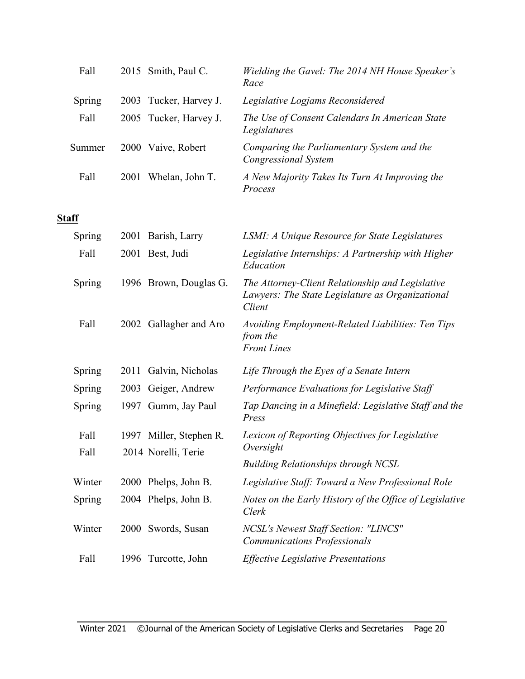| Fall         |      | 2015 Smith, Paul C.     | Wielding the Gavel: The 2014 NH House Speaker's<br>Race                                                        |
|--------------|------|-------------------------|----------------------------------------------------------------------------------------------------------------|
| Spring       | 2003 | Tucker, Harvey J.       | Legislative Logjams Reconsidered                                                                               |
| Fall         |      | 2005 Tucker, Harvey J.  | The Use of Consent Calendars In American State<br>Legislatures                                                 |
| Summer       |      | 2000 Vaive, Robert      | Comparing the Parliamentary System and the<br><b>Congressional System</b>                                      |
| Fall         |      | 2001 Whelan, John T.    | A New Majority Takes Its Turn At Improving the<br>Process                                                      |
| <b>Staff</b> |      |                         |                                                                                                                |
| Spring       |      | 2001 Barish, Larry      | LSMI: A Unique Resource for State Legislatures                                                                 |
| Fall         |      | 2001 Best, Judi         | Legislative Internships: A Partnership with Higher<br>Education                                                |
| Spring       |      | 1996 Brown, Douglas G.  | The Attorney-Client Relationship and Legislative<br>Lawyers: The State Legislature as Organizational<br>Client |
| Fall         |      | 2002 Gallagher and Aro  | Avoiding Employment-Related Liabilities: Ten Tips<br>from the<br><b>Front Lines</b>                            |
| Spring       | 2011 | Galvin, Nicholas        | Life Through the Eyes of a Senate Intern                                                                       |
| Spring       | 2003 | Geiger, Andrew          | Performance Evaluations for Legislative Staff                                                                  |
| Spring       |      | 1997 Gumm, Jay Paul     | Tap Dancing in a Minefield: Legislative Staff and the<br>Press                                                 |
| Fall         |      | 1997 Miller, Stephen R. | Lexicon of Reporting Objectives for Legislative                                                                |
| Fall         |      | 2014 Norelli, Terie     | Oversight                                                                                                      |
|              |      |                         | <b>Building Relationships through NCSL</b>                                                                     |
| Winter       | 2000 | Phelps, John B.         | Legislative Staff: Toward a New Professional Role                                                              |
| Spring       |      | 2004 Phelps, John B.    | Notes on the Early History of the Office of Legislative<br>Clerk                                               |
| Winter       |      | 2000 Swords, Susan      | NCSL's Newest Staff Section: "LINCS"<br><b>Communications Professionals</b>                                    |
| Fall         | 1996 | Turcotte, John          | <b>Effective Legislative Presentations</b>                                                                     |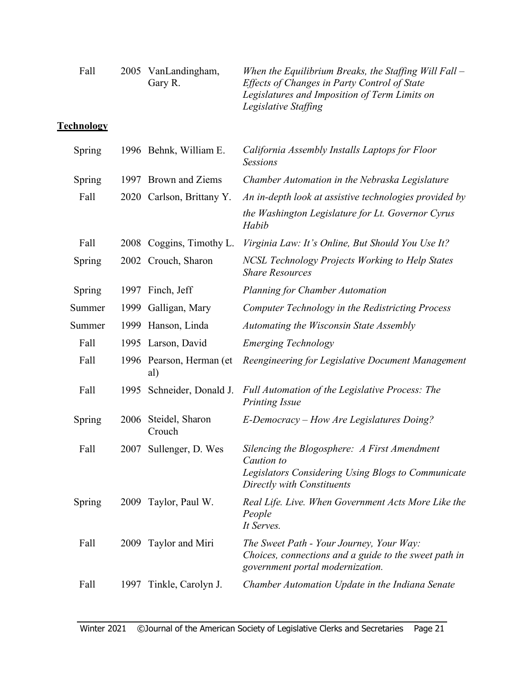| Fall              |      | 2005 VanLandingham,<br>Gary R.  | When the Equilibrium Breaks, the Staffing Will Fall –<br>Effects of Changes in Party Control of State<br>Legislatures and Imposition of Term Limits on<br>Legislative Staffing |
|-------------------|------|---------------------------------|--------------------------------------------------------------------------------------------------------------------------------------------------------------------------------|
| <b>Technology</b> |      |                                 |                                                                                                                                                                                |
| Spring            |      | 1996 Behnk, William E.          | California Assembly Installs Laptops for Floor<br><b>Sessions</b>                                                                                                              |
| Spring            | 1997 | Brown and Ziems                 | Chamber Automation in the Nebraska Legislature                                                                                                                                 |
| Fall              |      | 2020 Carlson, Brittany Y.       | An in-depth look at assistive technologies provided by                                                                                                                         |
|                   |      |                                 | the Washington Legislature for Lt. Governor Cyrus<br>Habib                                                                                                                     |
| Fall              |      | 2008 Coggins, Timothy L.        | Virginia Law: It's Online, But Should You Use It?                                                                                                                              |
| Spring            |      | 2002 Crouch, Sharon             | <b>NCSL Technology Projects Working to Help States</b><br><b>Share Resources</b>                                                                                               |
| Spring            | 1997 | Finch, Jeff                     | <b>Planning for Chamber Automation</b>                                                                                                                                         |
| Summer            | 1999 | Galligan, Mary                  | Computer Technology in the Redistricting Process                                                                                                                               |
| Summer            | 1999 | Hanson, Linda                   | Automating the Wisconsin State Assembly                                                                                                                                        |
| Fall              |      | 1995 Larson, David              | <b>Emerging Technology</b>                                                                                                                                                     |
| Fall              |      | 1996 Pearson, Herman (et<br>al) | Reengineering for Legislative Document Management                                                                                                                              |
| Fall              |      | 1995 Schneider, Donald J.       | Full Automation of the Legislative Process: The<br><b>Printing Issue</b>                                                                                                       |
| Spring            |      | 2006 Steidel, Sharon<br>Crouch  | E-Democracy – How Are Legislatures Doing?                                                                                                                                      |
| Fall              |      | 2007 Sullenger, D. Wes          | Silencing the Blogosphere: A First Amendment<br>Caution to<br>Legislators Considering Using Blogs to Communicate<br>Directly with Constituents                                 |
| Spring            |      | 2009 Taylor, Paul W.            | Real Life. Live. When Government Acts More Like the<br>People<br>It Serves.                                                                                                    |
| Fall              |      | 2009 Taylor and Miri            | The Sweet Path - Your Journey, Your Way:<br>Choices, connections and a guide to the sweet path in<br>government portal modernization.                                          |
| Fall              | 1997 | Tinkle, Carolyn J.              | Chamber Automation Update in the Indiana Senate                                                                                                                                |